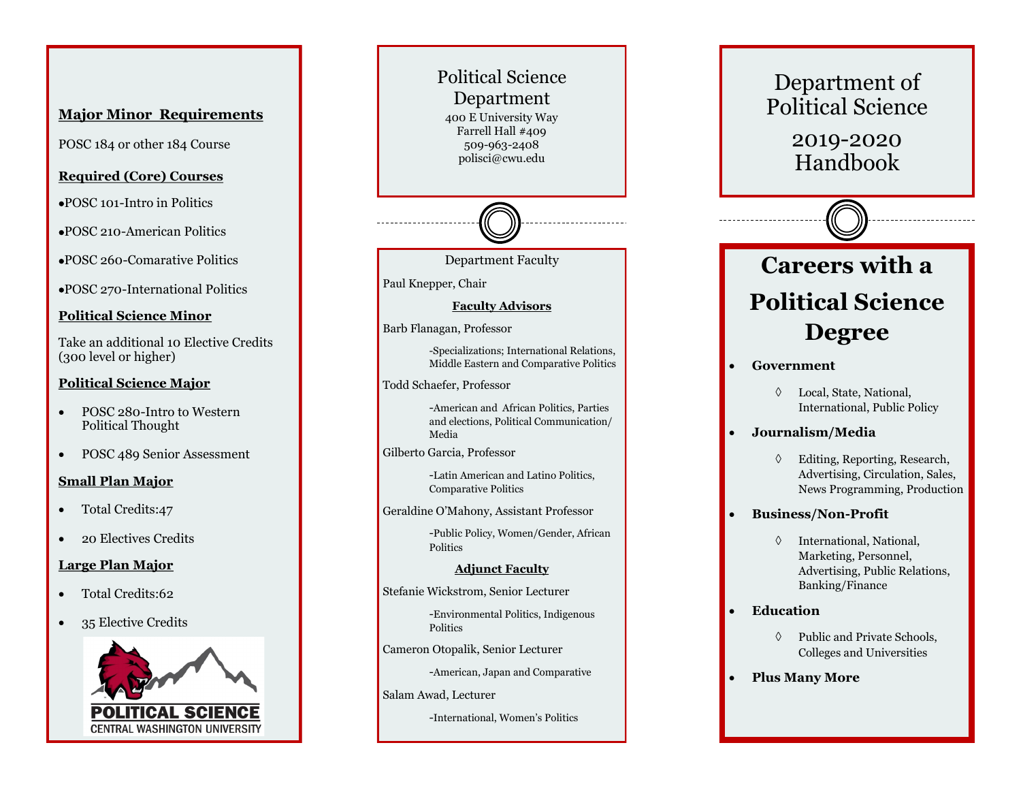## **Major Minor Requirements**

POSC 184 or other 184 Course

### **Required (Core) Courses**

- POSC 101-Intro in Politics
- POSC 210-American Politics

POSC 260-Comarative Politics

POSC 270-International Politics

### **Political Science Minor**

Take an additional 10 Elective Credits (300 level or higher)

### **Political Science Major**

- POSC 280-Intro to Western Political Thought
- POSC 489 Senior Assessment

### **Small Plan Major**

- Total Credits:47
- 20 Electives Credits

### **Large Plan Major**

- Total Credits:62
- 35 Elective Credits



Political Science Department 400 E University Way Farrell Hall #409 509 -963 -2408 polisci@cwu.edu



#### Department Faculty

Paul Knepper, Chair

#### **Faculty Advisors**

Barb Flanagan, Professor

-Specializations; International Relations, Middle Eastern and Comparative Politics

Todd Schaefer, Professor

-American and African Politics, Parties and elections, Political Communication/ Media

Gilberto Garcia, Professor

-Latin American and Latino Politics, Comparative Politics

Geraldine O 'Mahony, Assistant Professor

-Public Policy, Women/Gender, African **Politics** 

### **Adjunct Faculty**

Stefanie Wickstrom, Senior Lecturer

-Environmental Politics, Indigenous **Politics** 

Cameron Otopalik, Senior Lecturer

-American, Japan and Comparative

Salam Awad, Lecturer

-International, Women 's Politics

# **Careers with a Political Science Degree Government** Local, State, National, International, Public Policy **Journalism/Media** Department of Political Science 2019 -2020 Handbook

- Editing, Reporting, Research, Advertising, Circulation, Sales, News Programming, Production
- **Business/Non -Profit**
	- $\Diamond$  International, National, Marketing, Personnel, Advertising, Public Relations, Banking/Finance
- **Education**
	- $\Diamond$  Public and Private Schools, Colleges and Universities
- **Plus Many More**